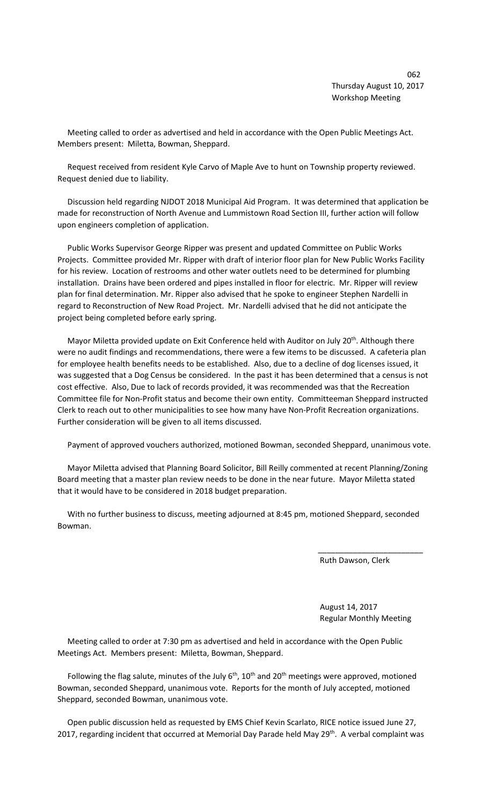$\sim$  062 Thursday August 10, 2017 Workshop Meeting

 Meeting called to order as advertised and held in accordance with the Open Public Meetings Act. Members present: Miletta, Bowman, Sheppard.

 Request received from resident Kyle Carvo of Maple Ave to hunt on Township property reviewed. Request denied due to liability.

 Discussion held regarding NJDOT 2018 Municipal Aid Program. It was determined that application be made for reconstruction of North Avenue and Lummistown Road Section III, further action will follow upon engineers completion of application.

 Public Works Supervisor George Ripper was present and updated Committee on Public Works Projects. Committee provided Mr. Ripper with draft of interior floor plan for New Public Works Facility for his review. Location of restrooms and other water outlets need to be determined for plumbing installation. Drains have been ordered and pipes installed in floor for electric. Mr. Ripper will review plan for final determination. Mr. Ripper also advised that he spoke to engineer Stephen Nardelli in regard to Reconstruction of New Road Project. Mr. Nardelli advised that he did not anticipate the project being completed before early spring.

Mayor Miletta provided update on Exit Conference held with Auditor on July 20<sup>th</sup>. Although there were no audit findings and recommendations, there were a few items to be discussed. A cafeteria plan for employee health benefits needs to be established. Also, due to a decline of dog licenses issued, it was suggested that a Dog Census be considered. In the past it has been determined that a census is not cost effective. Also, Due to lack of records provided, it was recommended was that the Recreation Committee file for Non-Profit status and become their own entity. Committeeman Sheppard instructed Clerk to reach out to other municipalities to see how many have Non-Profit Recreation organizations. Further consideration will be given to all items discussed.

Payment of approved vouchers authorized, motioned Bowman, seconded Sheppard, unanimous vote.

 Mayor Miletta advised that Planning Board Solicitor, Bill Reilly commented at recent Planning/Zoning Board meeting that a master plan review needs to be done in the near future. Mayor Miletta stated that it would have to be considered in 2018 budget preparation.

 With no further business to discuss, meeting adjourned at 8:45 pm, motioned Sheppard, seconded Bowman.

 $\overline{\phantom{a}}$  , and the contract of the contract of the contract of the contract of the contract of the contract of the contract of the contract of the contract of the contract of the contract of the contract of the contrac

Ruth Dawson, Clerk

 August 14, 2017 Regular Monthly Meeting

 Meeting called to order at 7:30 pm as advertised and held in accordance with the Open Public Meetings Act. Members present: Miletta, Bowman, Sheppard.

Following the flag salute, minutes of the July  $6<sup>th</sup>$ , 10<sup>th</sup> and 20<sup>th</sup> meetings were approved, motioned Bowman, seconded Sheppard, unanimous vote. Reports for the month of July accepted, motioned Sheppard, seconded Bowman, unanimous vote.

 Open public discussion held as requested by EMS Chief Kevin Scarlato, RICE notice issued June 27, 2017, regarding incident that occurred at Memorial Day Parade held May 29<sup>th</sup>. A verbal complaint was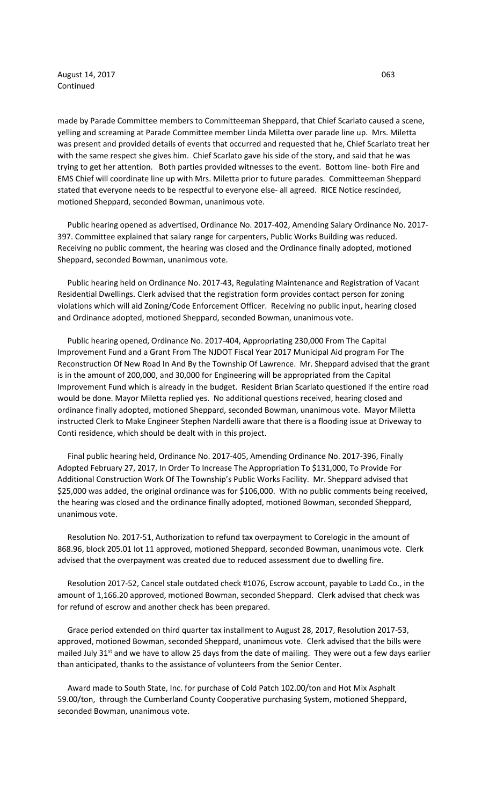August 14, 2017 **063** Continued

made by Parade Committee members to Committeeman Sheppard, that Chief Scarlato caused a scene, yelling and screaming at Parade Committee member Linda Miletta over parade line up. Mrs. Miletta was present and provided details of events that occurred and requested that he, Chief Scarlato treat her with the same respect she gives him. Chief Scarlato gave his side of the story, and said that he was trying to get her attention. Both parties provided witnesses to the event. Bottom line- both Fire and EMS Chief will coordinate line up with Mrs. Miletta prior to future parades. Committeeman Sheppard stated that everyone needs to be respectful to everyone else- all agreed. RICE Notice rescinded, motioned Sheppard, seconded Bowman, unanimous vote.

 Public hearing opened as advertised, Ordinance No. 2017-402, Amending Salary Ordinance No. 2017- 397. Committee explained that salary range for carpenters, Public Works Building was reduced. Receiving no public comment, the hearing was closed and the Ordinance finally adopted, motioned Sheppard, seconded Bowman, unanimous vote.

 Public hearing held on Ordinance No. 2017-43, Regulating Maintenance and Registration of Vacant Residential Dwellings. Clerk advised that the registration form provides contact person for zoning violations which will aid Zoning/Code Enforcement Officer. Receiving no public input, hearing closed and Ordinance adopted, motioned Sheppard, seconded Bowman, unanimous vote.

 Public hearing opened, Ordinance No. 2017-404, Appropriating 230,000 From The Capital Improvement Fund and a Grant From The NJDOT Fiscal Year 2017 Municipal Aid program For The Reconstruction Of New Road In And By the Township Of Lawrence. Mr. Sheppard advised that the grant is in the amount of 200,000, and 30,000 for Engineering will be appropriated from the Capital Improvement Fund which is already in the budget. Resident Brian Scarlato questioned if the entire road would be done. Mayor Miletta replied yes. No additional questions received, hearing closed and ordinance finally adopted, motioned Sheppard, seconded Bowman, unanimous vote. Mayor Miletta instructed Clerk to Make Engineer Stephen Nardelli aware that there is a flooding issue at Driveway to Conti residence, which should be dealt with in this project.

 Final public hearing held, Ordinance No. 2017-405, Amending Ordinance No. 2017-396, Finally Adopted February 27, 2017, In Order To Increase The Appropriation To \$131,000, To Provide For Additional Construction Work Of The Township's Public Works Facility. Mr. Sheppard advised that \$25,000 was added, the original ordinance was for \$106,000. With no public comments being received, the hearing was closed and the ordinance finally adopted, motioned Bowman, seconded Sheppard, unanimous vote.

 Resolution No. 2017-51, Authorization to refund tax overpayment to Corelogic in the amount of 868.96, block 205.01 lot 11 approved, motioned Sheppard, seconded Bowman, unanimous vote. Clerk advised that the overpayment was created due to reduced assessment due to dwelling fire.

 Resolution 2017-52, Cancel stale outdated check #1076, Escrow account, payable to Ladd Co., in the amount of 1,166.20 approved, motioned Bowman, seconded Sheppard. Clerk advised that check was for refund of escrow and another check has been prepared.

 Grace period extended on third quarter tax installment to August 28, 2017, Resolution 2017-53, approved, motioned Bowman, seconded Sheppard, unanimous vote. Clerk advised that the bills were mailed July 31<sup>st</sup> and we have to allow 25 days from the date of mailing. They were out a few days earlier than anticipated, thanks to the assistance of volunteers from the Senior Center.

 Award made to South State, Inc. for purchase of Cold Patch 102.00/ton and Hot Mix Asphalt 59.00/ton, through the Cumberland County Cooperative purchasing System, motioned Sheppard, seconded Bowman, unanimous vote.